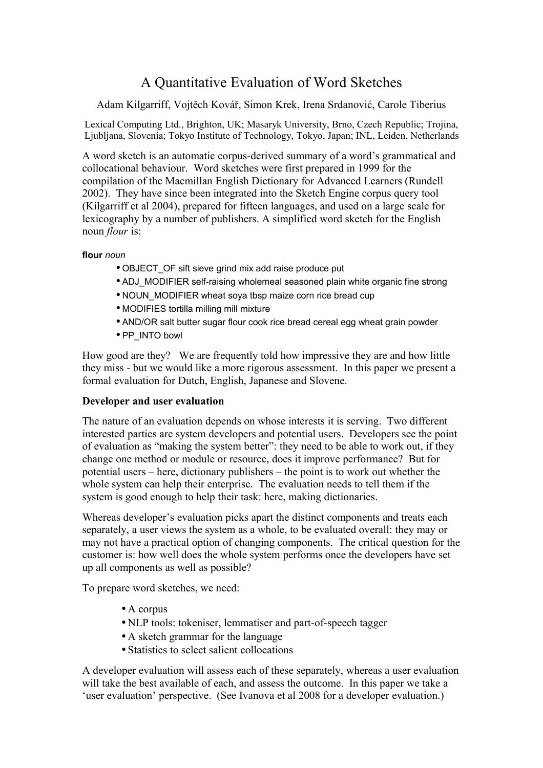# A Quantitative Evaluation of Word Sketches

Adam Kilgarriff, Vojtěch Kovář, Simon Krek, Irena Srdanović, Carole Tiberius

Lexical Computing Ltd., Brighton, UK; Masaryk University, Brno, Czech Republic; Trojina, Ljubljana, Slovenia; Tokyo Institute of Technology, Tokyo, Japan; INL, Leiden, Netherlands

A word sketch is an automatic corpus-derived summary of a word's grammatical and collocational behaviour. Word sketches were first prepared in 1999 for the compilation of the Macmillan English Dictionary for Advanced Learners (Rundell 2002). They have since been integrated into the Sketch Engine corpus query tool (Kilgarriff et al 2004), prepared for fifteen languages, and used on a large scale for lexicography by a number of publishers. A simplified word sketch for the English noun *flour* is:

**flour** *noun*

- OBJECT OF sift sieve grind mix add raise produce put
- ADJ\_MODIFIER self-raising wholemeal seasoned plain white organic fine strong
- NOUN\_MODIFIER wheat soya tbsp maize corn rice bread cup
- MODIFIES tortilla milling mill mixture
- AND/OR salt butter sugar flour cook rice bread cereal egg wheat grain powder
- PP\_INTO bowl

How good are they? We are frequently told how impressive they are and how little they miss - but we would like a more rigorous assessment. In this paper we present a formal evaluation for Dutch, English, Japanese and Slovene.

# **Developer and user evaluation**

The nature of an evaluation depends on whose interests it is serving. Two different interested parties are system developers and potential users. Developers see the point of evaluation as "making the system better": they need to be able to work out, if they change one method or module or resource, does it improve performance? But for potential users – here, dictionary publishers – the point is to work out whether the whole system can help their enterprise. The evaluation needs to tell them if the system is good enough to help their task: here, making dictionaries.

Whereas developer's evaluation picks apart the distinct components and treats each separately, a user views the system as a whole, to be evaluated overall: they may or may not have a practical option of changing components. The critical question for the customer is: how well does the whole system performs once the developers have set up all components as well as possible?

To prepare word sketches, we need:

- A corpus
- NLP tools: tokeniser, lemmatiser and part-of-speech tagger
- A sketch grammar for the language
- Statistics to select salient collocations

A developer evaluation will assess each of these separately, whereas a user evaluation will take the best available of each, and assess the outcome. In this paper we take a 'user evaluation' perspective. (See Ivanova et al 2008 for a developer evaluation.)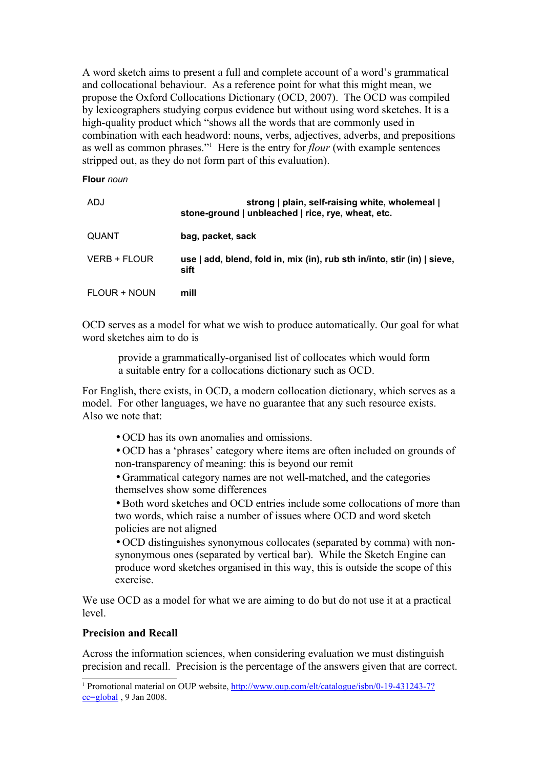A word sketch aims to present a full and complete account of a word's grammatical and collocational behaviour. As a reference point for what this might mean, we propose the Oxford Collocations Dictionary (OCD, 2007). The OCD was compiled by lexicographers studying corpus evidence but without using word sketches. It is a high-quality product which "shows all the words that are commonly used in combination with each headword: nouns, verbs, adjectives, adverbs, and prepositions as well as common phrases."<sup>[1](#page-1-0)</sup> Here is the entry for *flour* (with example sentences stripped out, as they do not form part of this evaluation).

#### **Flour** *noun*

| ADJ          | strong   plain, self-raising white, wholemeal  <br>stone-ground   unbleached   rice, rye, wheat, etc. |
|--------------|-------------------------------------------------------------------------------------------------------|
| QUANT        | bag, packet, sack                                                                                     |
| VERB + FLOUR | use   add, blend, fold in, mix (in), rub sth in/into, stir (in)   sieve,<br>sift                      |
| FLOUR + NOUN | mill                                                                                                  |

OCD serves as a model for what we wish to produce automatically. Our goal for what word sketches aim to do is

provide a grammatically-organised list of collocates which would form a suitable entry for a collocations dictionary such as OCD.

For English, there exists, in OCD, a modern collocation dictionary, which serves as a model. For other languages, we have no guarantee that any such resource exists. Also we note that:

• OCD has its own anomalies and omissions.

• OCD has a 'phrases' category where items are often included on grounds of non-transparency of meaning: this is beyond our remit

• Grammatical category names are not well-matched, and the categories themselves show some differences

• Both word sketches and OCD entries include some collocations of more than two words, which raise a number of issues where OCD and word sketch policies are not aligned

• OCD distinguishes synonymous collocates (separated by comma) with nonsynonymous ones (separated by vertical bar). While the Sketch Engine can produce word sketches organised in this way, this is outside the scope of this exercise.

We use OCD as a model for what we are aiming to do but do not use it at a practical level.

#### **Precision and Recall**

Across the information sciences, when considering evaluation we must distinguish precision and recall. Precision is the percentage of the answers given that are correct.

<span id="page-1-0"></span><sup>&</sup>lt;sup>1</sup> Promotional material on OUP website, [http://www.oup.com/elt/catalogue/isbn/0-19-431243-7?](http://www.oup.com/elt/catalogue/isbn/0-19-431243-7?cc=global) [cc=global](http://www.oup.com/elt/catalogue/isbn/0-19-431243-7?cc=global) , 9 Jan 2008.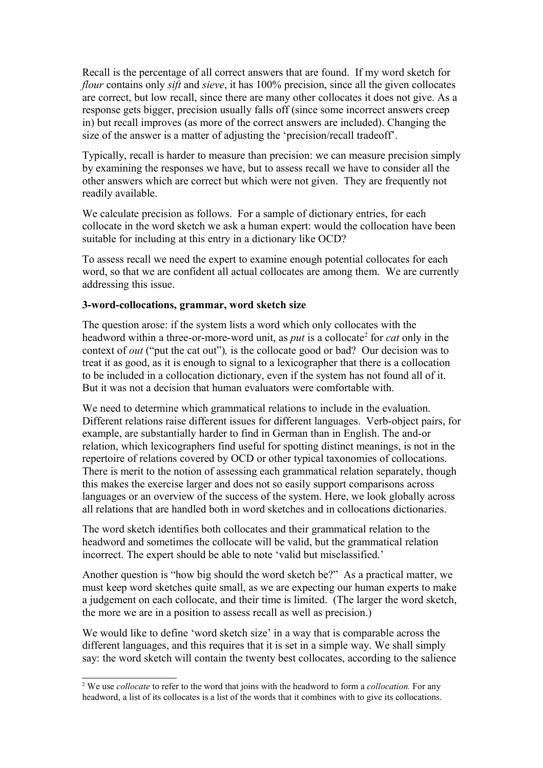Recall is the percentage of all correct answers that are found. If my word sketch for *flour* contains only *sift* and *sieve*, it has 100% precision, since all the given collocates are correct, but low recall, since there are many other collocates it does not give. As a response gets bigger, precision usually falls off (since some incorrect answers creep in) but recall improves (as more of the correct answers are included). Changing the size of the answer is a matter of adjusting the 'precision/recall tradeoff'.

Typically, recall is harder to measure than precision: we can measure precision simply by examining the responses we have, but to assess recall we have to consider all the other answers which are correct but which were not given. They are frequently not readily available.

We calculate precision as follows. For a sample of dictionary entries, for each collocate in the word sketch we ask a human expert: would the collocation have been suitable for including at this entry in a dictionary like OCD?

To assess recall we need the expert to examine enough potential collocates for each word, so that we are confident all actual collocates are among them. We are currently addressing this issue.

#### **3-word-collocations, grammar, word sketch size**

The question arose: if the system lists a word which only collocates with the headword within a three-or-more-word unit, as *put* is a collocate<sup>[2](#page-2-0)</sup> for *cat* only in the context of *out* ("put the cat out")*,* is the collocate good or bad? Our decision was to treat it as good, as it is enough to signal to a lexicographer that there is a collocation to be included in a collocation dictionary, even if the system has not found all of it. But it was not a decision that human evaluators were comfortable with.

We need to determine which grammatical relations to include in the evaluation. Different relations raise different issues for different languages. Verb-object pairs, for example, are substantially harder to find in German than in English. The and-or relation, which lexicographers find useful for spotting distinct meanings, is not in the repertoire of relations covered by OCD or other typical taxonomies of collocations. There is merit to the notion of assessing each grammatical relation separately, though this makes the exercise larger and does not so easily support comparisons across languages or an overview of the success of the system. Here, we look globally across all relations that are handled both in word sketches and in collocations dictionaries.

The word sketch identifies both collocates and their grammatical relation to the headword and sometimes the collocate will be valid, but the grammatical relation incorrect. The expert should be able to note 'valid but misclassified.'

Another question is "how big should the word sketch be?" As a practical matter, we must keep word sketches quite small, as we are expecting our human experts to make a judgement on each collocate, and their time is limited. (The larger the word sketch, the more we are in a position to assess recall as well as precision.)

We would like to define 'word sketch size' in a way that is comparable across the different languages, and this requires that it is set in a simple way. We shall simply say: the word sketch will contain the twenty best collocates, according to the salience

<span id="page-2-0"></span><sup>2</sup> We use *collocate* to refer to the word that joins with the headword to form a *collocation.* For any headword, a list of its collocates is a list of the words that it combines with to give its collocations.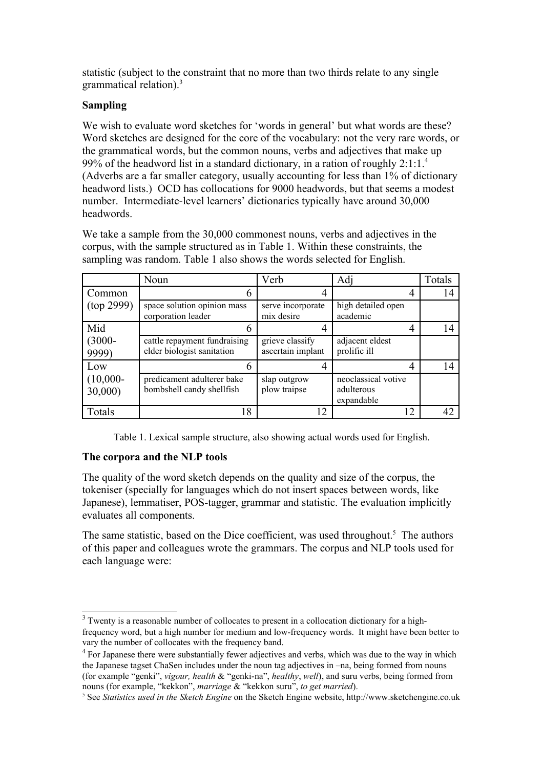statistic (subject to the constraint that no more than two thirds relate to any single grammatical relation).<sup>[3](#page-3-0)</sup>

# **Sampling**

We wish to evaluate word sketches for 'words in general' but what words are these? Word sketches are designed for the core of the vocabulary: not the very rare words, or the grammatical words, but the common nouns, verbs and adjectives that make up 99% of the headword list in a standard dictionary, in a ration of roughly 2:1:1.[4](#page-3-1) (Adverbs are a far smaller category, usually accounting for less than 1% of dictionary headword lists.) OCD has collocations for 9000 headwords, but that seems a modest number. Intermediate-level learners' dictionaries typically have around 30,000 headwords.

We take a sample from the 30,000 commonest nouns, verbs and adjectives in the corpus, with the sample structured as in Table 1. Within these constraints, the sampling was random. Table 1 also shows the words selected for English.

|                       | Noun                                                       | Verb                                 | Adj                                             | Totals |
|-----------------------|------------------------------------------------------------|--------------------------------------|-------------------------------------------------|--------|
| Common                |                                                            | 4                                    |                                                 | 14     |
| (top 2999)            | space solution opinion mass<br>corporation leader          | serve incorporate<br>mix desire      | high detailed open<br>academic                  |        |
| Mid                   |                                                            | 4                                    |                                                 | 14     |
| $(3000 -$<br>9999)    | cattle repayment fundraising<br>elder biologist sanitation | grieve classify<br>ascertain implant | adjacent eldest<br>prolific ill                 |        |
| Low                   |                                                            | 4                                    |                                                 | 14     |
| $(10,000 -$<br>30,000 | predicament adulterer bake<br>bombshell candy shellfish    | slap outgrow<br>plow traipse         | neoclassical votive<br>adulterous<br>expandable |        |
| Totals                | 18                                                         | 12                                   | 12                                              | 42     |

Table 1. Lexical sample structure, also showing actual words used for English.

# **The corpora and the NLP tools**

The quality of the word sketch depends on the quality and size of the corpus, the tokeniser (specially for languages which do not insert spaces between words, like Japanese), lemmatiser, POS-tagger, grammar and statistic. The evaluation implicitly evaluates all components.

The same statistic, based on the Dice coefficient, was used throughout.<sup>[5](#page-3-2)</sup> The authors of this paper and colleagues wrote the grammars. The corpus and NLP tools used for each language were:

<span id="page-3-0"></span> $3$  Twenty is a reasonable number of collocates to present in a collocation dictionary for a highfrequency word, but a high number for medium and low-frequency words. It might have been better to vary the number of collocates with the frequency band.

<span id="page-3-1"></span><sup>&</sup>lt;sup>4</sup> For Japanese there were substantially fewer adjectives and verbs, which was due to the way in which the Japanese tagset ChaSen includes under the noun tag adjectives in –na, being formed from nouns (for example "genki", *vigour, health* & "genki-na", *healthy*, *well*), and suru verbs, being formed from nouns (for example, "kekkon", *marriage* & "kekkon suru", *to get married*).

<span id="page-3-2"></span><sup>5</sup> See *Statistics used in the Sketch Engine* on the Sketch Engine website, http://www.sketchengine.co.uk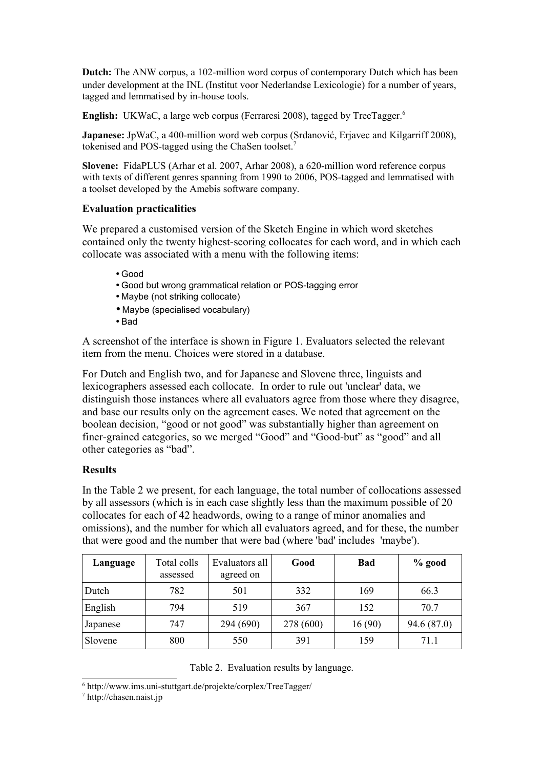Dutch: The ANW corpus, a 102-million word corpus of contemporary Dutch which has been under development at the INL (Institut voor Nederlandse Lexicologie) for a number of years, tagged and lemmatised by in-house tools.

**English:** UKWaC, a large web corpus (Ferraresi 2008), tagged by TreeTagger.<sup>[6](#page-4-0)</sup>

**Japanese:** JpWaC, a 400-million word web corpus (Srdanović, Erjavec and Kilgarriff 2008), tokenised and POS-tagged using the ChaSen toolset.[7](#page-4-1)

**Slovene:** FidaPLUS (Arhar et al. 2007, Arhar 2008), a 620-million word reference corpus with texts of different genres spanning from 1990 to 2006, POS-tagged and lemmatised with a toolset developed by the Amebis software company.

#### **Evaluation practicalities**

We prepared a customised version of the Sketch Engine in which word sketches contained only the twenty highest-scoring collocates for each word, and in which each collocate was associated with a menu with the following items:

- Good
- Good but wrong grammatical relation or POS-tagging error
- Maybe (not striking collocate)
- Maybe (specialised vocabulary)
- Bad

A screenshot of the interface is shown in Figure 1. Evaluators selected the relevant item from the menu. Choices were stored in a database.

For Dutch and English two, and for Japanese and Slovene three, linguists and lexicographers assessed each collocate. In order to rule out 'unclear' data, we distinguish those instances where all evaluators agree from those where they disagree, and base our results only on the agreement cases. We noted that agreement on the boolean decision, "good or not good" was substantially higher than agreement on finer-grained categories, so we merged "Good" and "Good-but" as "good" and all other categories as "bad".

# **Results**

In the Table 2 we present, for each language, the total number of collocations assessed by all assessors (which is in each case slightly less than the maximum possible of 20 collocates for each of 42 headwords, owing to a range of minor anomalies and omissions), and the number for which all evaluators agreed, and for these, the number that were good and the number that were bad (where 'bad' includes 'maybe').

| Language | Total colls<br>assessed | Evaluators all<br>agreed on | Good      | Bad    | $%$ good    |
|----------|-------------------------|-----------------------------|-----------|--------|-------------|
| Dutch    | 782                     | 501                         | 332       | 169    | 66.3        |
| English  | 794                     | 519                         | 367       | 152    | 70.7        |
| Japanese | 747                     | 294 (690)                   | 278 (600) | 16(90) | 94.6 (87.0) |
| Slovene  | 800                     | 550                         | 391       | 159    | 71.1        |

#### Table 2. Evaluation results by language.

<span id="page-4-0"></span><sup>6</sup> http://www.ims.uni-stuttgart.de/projekte/corplex/TreeTagger/

<span id="page-4-1"></span><sup>7</sup> http://chasen.naist.jp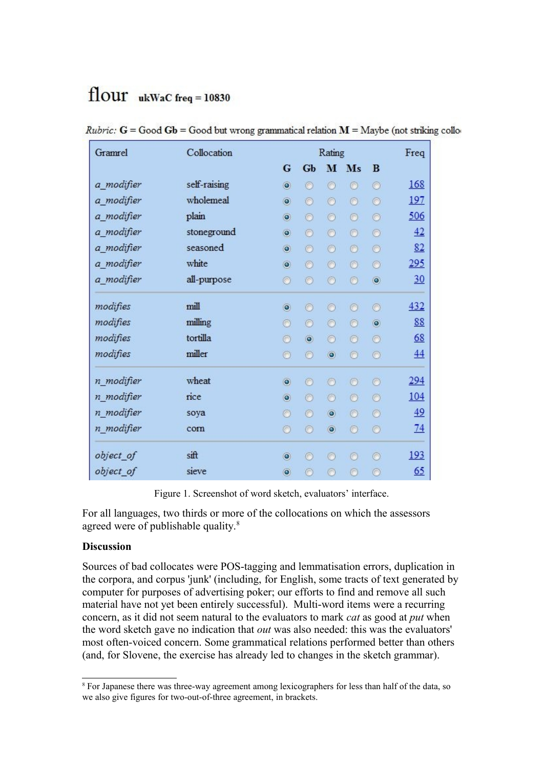# $flowr$  ukWaC freq = 10830

| Gramrel    | Collocation  |                | Rating         |                  |                |                | Freq |
|------------|--------------|----------------|----------------|------------------|----------------|----------------|------|
|            |              | G              | <b>Gb</b>      |                  | M Ms           | B              |      |
| a_modifier | self-raising | $\odot$        | $^{\circ}$     | $\circ$          | $\circ$        | $\circ$        | 168  |
| a modifier | wholemeal    | $\odot$        | $\odot$        | $\circ$          | $\circledcirc$ | $\circ$        | 197  |
| a modifier | plain        | $\odot$        | $\odot$        | $\circ$          | $\circ$        | $\circ$        | 506  |
| a modifier | stoneground  | $\odot$        | $\odot$        | $\circ$          | $\circ$        | $\circ$        | 42   |
| a_modifier | seasoned     | $\odot$        | $\odot$        | $\circ$          | $\circ$        | $\circ$        | 82   |
| a_modifier | white        | $\odot$        | $\odot$        | $\circ$          | $\circledcirc$ | $\circ$        | 295  |
| a modifier | all-purpose  | $\circ$        | $\odot$        | $\circ$          | $\circ$        | $\circledcirc$ | 30   |
| modifies   | mill         | $\circledcirc$ | $\odot$        | $\odot$          | $\odot$        | $\circ$        | 432  |
| modifies   | milling      | $\circ$        | $\circ$        | $\circ$          | $\odot$        | $\circ$        | 88   |
| modifies   | tortilla     | O              | $\circledcirc$ | $\circ$          | $\odot$        | O              | 68   |
| modifies   | miller       | $\circ$        | $\circ$        | $\ddot{\bullet}$ | $\odot$        | $\circ$        | 44   |
| n_modifier | wheat        | $\bullet$      | $\odot$        | $\circ$          | $\circ$        | $\odot$        | 294  |
| n modifier | rice         | $\bullet$      | $\odot$        | $\circ$          | $\circ$        | $\odot$        | 104  |
| n modifier | soya         | $\odot$        | $\odot$        | $\circledcirc$   | $\circ$        | $\odot$        | 49   |
| n modifier | corn         | $\odot$        | $\odot$        | $\circledcirc$   | $\circ$        | $\circ$        | 74   |
| object of  | sift         | $\circledcirc$ | $\odot$        | O                | ⊙              | $\odot$        | 193  |
| object_of  | sieve        | $\circ$        | $\circ$        | $\odot$          | O              | Ō              | 65   |

*Rubric:*  $G = Good Gb = Good but wrong grammatical relation M = Maybe (not striking collo-$ 

Figure 1. Screenshot of word sketch, evaluators' interface.

For all languages, two thirds or more of the collocations on which the assessors agreed were of publishable quality.<sup>[8](#page-5-0)</sup>

# **Discussion**

Sources of bad collocates were POS-tagging and lemmatisation errors, duplication in the corpora, and corpus 'junk' (including, for English, some tracts of text generated by computer for purposes of advertising poker; our efforts to find and remove all such material have not yet been entirely successful). Multi-word items were a recurring concern, as it did not seem natural to the evaluators to mark *cat* as good at *put* when the word sketch gave no indication that *out* was also needed: this was the evaluators' most often-voiced concern. Some grammatical relations performed better than others (and, for Slovene, the exercise has already led to changes in the sketch grammar).

<span id="page-5-0"></span><sup>&</sup>lt;sup>8</sup> For Japanese there was three-way agreement among lexicographers for less than half of the data, so we also give figures for two-out-of-three agreement, in brackets.